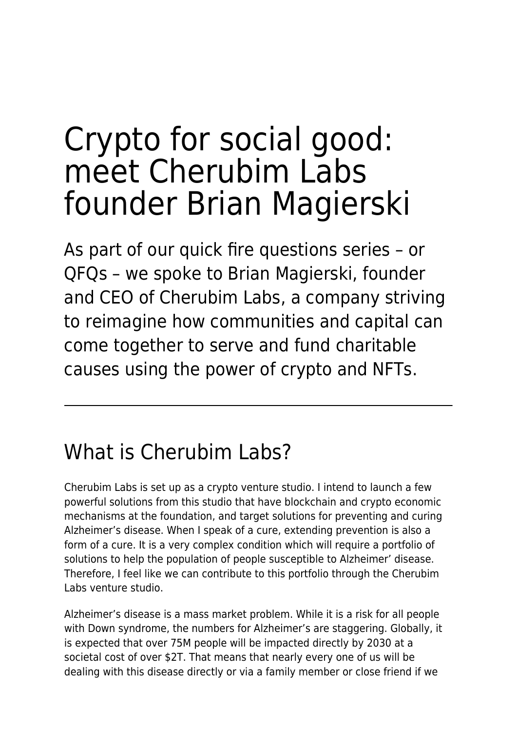# Crypto for social good: meet Cherubim Labs founder Brian Magierski

As part of our quick fire questions series – or QFQs – we spoke to Brian Magierski, founder and CEO of Cherubim Labs, a company striving to reimagine how communities and capital can come together to serve and fund charitable causes using the power of crypto and NFTs.

# What is Cherubim Labs?

Cherubim Labs is set up as a crypto venture studio. I intend to launch a few powerful solutions from this studio that have blockchain and crypto economic mechanisms at the foundation, and target solutions for preventing and curing Alzheimer's disease. When I speak of a cure, extending prevention is also a form of a cure. It is a very complex condition which will require a portfolio of solutions to help the population of people susceptible to Alzheimer' disease. Therefore, I feel like we can contribute to this portfolio through the Cherubim Labs venture studio.

Alzheimer's disease is a mass market problem. While it is a risk for all people with Down syndrome, the numbers for Alzheimer's are staggering. Globally, it is expected that over 75M people will be impacted directly by 2030 at a societal cost of over \$2T. That means that nearly every one of us will be dealing with this disease directly or via a family member or close friend if we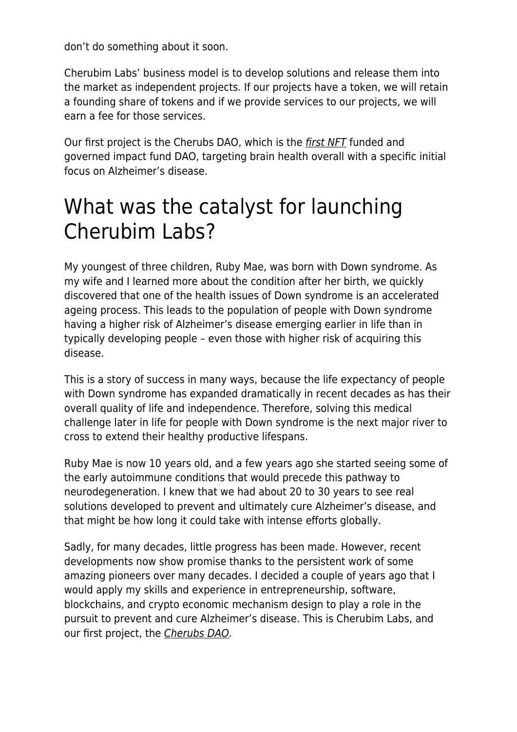don't do something about it soon.

Cherubim Labs' business model is to develop solutions and release them into the market as independent projects. If our projects have a token, we will retain a founding share of tokens and if we provide services to our projects, we will earn a fee for those services.

Our first project is the Cherubs DAO, which is the [first NFT](https://www.maddyness.com/uk/2021/12/06/what-you-need-to-know-about-the-surge-in-nfts/) funded and governed impact fund DAO, targeting brain health overall with a specific initial focus on Alzheimer's disease.

# What was the catalyst for launching Cherubim Labs?

My youngest of three children, Ruby Mae, was born with Down syndrome. As my wife and I learned more about the condition after her birth, we quickly discovered that one of the health issues of Down syndrome is an accelerated ageing process. This leads to the population of people with Down syndrome having a higher risk of Alzheimer's disease emerging earlier in life than in typically developing people – even those with higher risk of acquiring this disease.

This is a story of success in many ways, because the life expectancy of people with Down syndrome has expanded dramatically in recent decades as has their overall quality of life and independence. Therefore, solving this medical challenge later in life for people with Down syndrome is the next major river to cross to extend their healthy productive lifespans.

Ruby Mae is now 10 years old, and a few years ago she started seeing some of the early autoimmune conditions that would precede this pathway to neurodegeneration. I knew that we had about 20 to 30 years to see real solutions developed to prevent and ultimately cure Alzheimer's disease, and that might be how long it could take with intense efforts globally.

Sadly, for many decades, little progress has been made. However, recent developments now show promise thanks to the persistent work of some amazing pioneers over many decades. I decided a couple of years ago that I would apply my skills and experience in entrepreneurship, software, blockchains, and crypto economic mechanism design to play a role in the pursuit to prevent and cure Alzheimer's disease. This is Cherubim Labs, and our first project, the [Cherubs DAO.](https://cherubsdao.com/)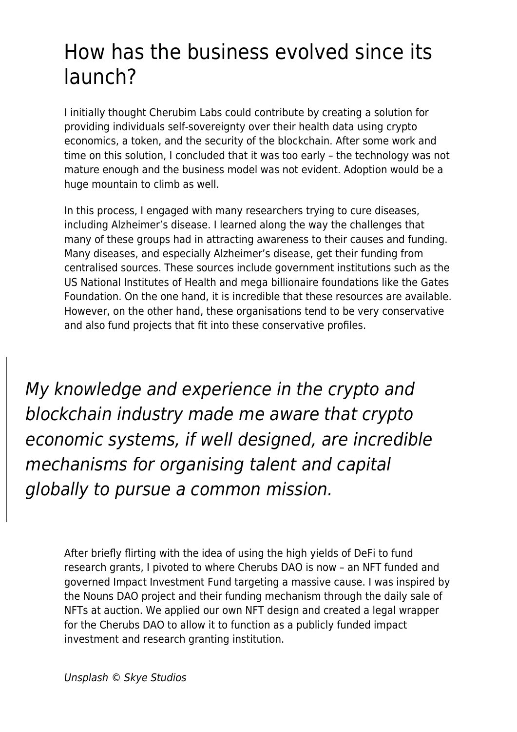#### How has the business evolved since its launch?

I initially thought Cherubim Labs could contribute by creating a solution for providing individuals self-sovereignty over their health data using crypto economics, a token, and the security of the blockchain. After some work and time on this solution, I concluded that it was too early – the technology was not mature enough and the business model was not evident. Adoption would be a huge mountain to climb as well.

In this process, I engaged with many researchers trying to cure diseases, including Alzheimer's disease. I learned along the way the challenges that many of these groups had in attracting awareness to their causes and funding. Many diseases, and especially Alzheimer's disease, get their funding from centralised sources. These sources include government institutions such as the US National Institutes of Health and mega billionaire foundations like the Gates Foundation. On the one hand, it is incredible that these resources are available. However, on the other hand, these organisations tend to be very conservative and also fund projects that fit into these conservative profiles.

My knowledge and experience in the crypto and blockchain industry made me aware that crypto economic systems, if well designed, are incredible mechanisms for organising talent and capital globally to pursue a common mission.

After briefly flirting with the idea of using the high yields of DeFi to fund research grants, I pivoted to where Cherubs DAO is now – an NFT funded and governed Impact Investment Fund targeting a massive cause. I was inspired by the Nouns DAO project and their funding mechanism through the daily sale of NFTs at auction. We applied our own NFT design and created a legal wrapper for the Cherubs DAO to allow it to function as a publicly funded impact investment and research granting institution.

Unsplash © Skye Studios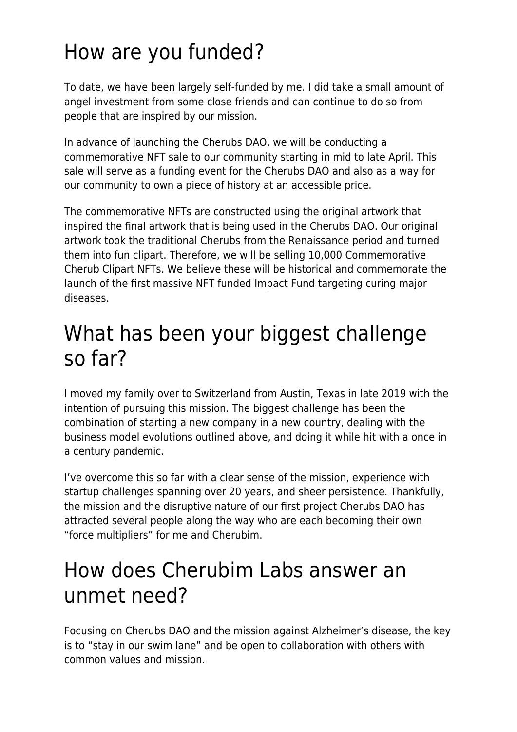# How are you funded?

To date, we have been largely self-funded by me. I did take a small amount of angel investment from some close friends and can continue to do so from people that are inspired by our mission.

In advance of launching the Cherubs DAO, we will be conducting a commemorative NFT sale to our community starting in mid to late April. This sale will serve as a funding event for the Cherubs DAO and also as a way for our community to own a piece of history at an accessible price.

The commemorative NFTs are constructed using the original artwork that inspired the final artwork that is being used in the Cherubs DAO. Our original artwork took the traditional Cherubs from the Renaissance period and turned them into fun clipart. Therefore, we will be selling 10,000 Commemorative Cherub Clipart NFTs. We believe these will be historical and commemorate the launch of the first massive NFT funded Impact Fund targeting curing major diseases.

## What has been your biggest challenge so far?

I moved my family over to Switzerland from Austin, Texas in late 2019 with the intention of pursuing this mission. The biggest challenge has been the combination of starting a new company in a new country, dealing with the business model evolutions outlined above, and doing it while hit with a once in a century pandemic.

I've overcome this so far with a clear sense of the mission, experience with startup challenges spanning over 20 years, and sheer persistence. Thankfully, the mission and the disruptive nature of our first project Cherubs DAO has attracted several people along the way who are each becoming their own "force multipliers" for me and Cherubim.

# How does Cherubim Labs answer an unmet need?

Focusing on Cherubs DAO and the mission against Alzheimer's disease, the key is to "stay in our swim lane" and be open to collaboration with others with common values and mission.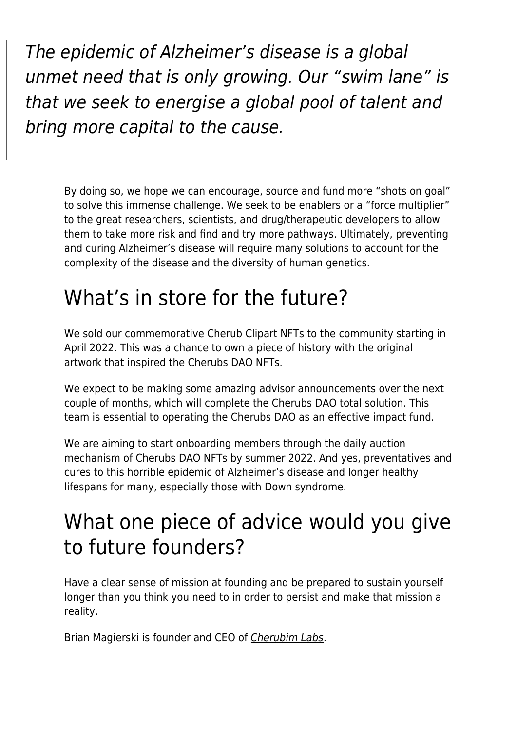The epidemic of Alzheimer's disease is a global unmet need that is only growing. Our "swim lane" is that we seek to energise a global pool of talent and bring more capital to the cause.

By doing so, we hope we can encourage, source and fund more "shots on goal" to solve this immense challenge. We seek to be enablers or a "force multiplier" to the great researchers, scientists, and drug/therapeutic developers to allow them to take more risk and find and try more pathways. Ultimately, preventing and curing Alzheimer's disease will require many solutions to account for the complexity of the disease and the diversity of human genetics.

## What's in store for the future?

We sold our commemorative Cherub Clipart NFTs to the community starting in April 2022. This was a chance to own a piece of history with the original artwork that inspired the Cherubs DAO NFTs.

We expect to be making some amazing advisor announcements over the next couple of months, which will complete the Cherubs DAO total solution. This team is essential to operating the Cherubs DAO as an effective impact fund.

We are aiming to start onboarding members through the daily auction mechanism of Cherubs DAO NFTs by summer 2022. And yes, preventatives and cures to this horrible epidemic of Alzheimer's disease and longer healthy lifespans for many, especially those with Down syndrome.

## What one piece of advice would you give to future founders?

Have a clear sense of mission at founding and be prepared to sustain yourself longer than you think you need to in order to persist and make that mission a reality.

Brian Magierski is founder and CEO of [Cherubim Labs](https://cherubimlabs.com/).